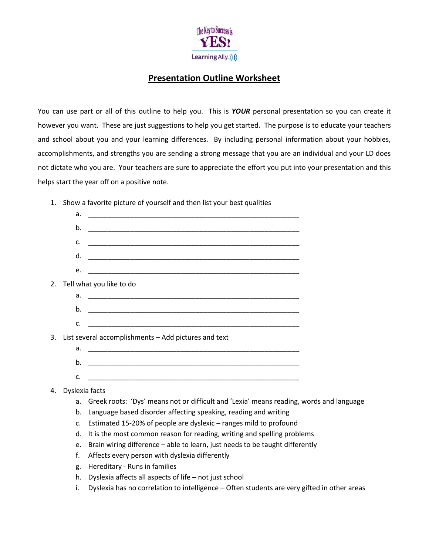

## **Presentation Outline Worksheet**

You can use part or all of this outline to help you. This is *YOUR* personal presentation so you can create it however you want. These are just suggestions to help you get started. The purpose is to educate your teachers and school about you and your learning differences. By including personal information about your hobbies, accomplishments, and strengths you are sending a strong message that you are an individual and your LD does not dictate who you are. Your teachers are sure to appreciate the effort you put into your presentation and this helps start the year off on a positive note.

1. Show a favorite picture of yourself and then list your best qualities

|    | a.                                                   | <u> 1989 - Johann John Stone, markin sanadi amerikan bahasa dalam kemasaan bahasa dalam kemasaan dalam kemasaan d</u> |  |
|----|------------------------------------------------------|-----------------------------------------------------------------------------------------------------------------------|--|
|    | b.                                                   |                                                                                                                       |  |
|    | C.                                                   |                                                                                                                       |  |
|    | d.                                                   |                                                                                                                       |  |
|    | e.                                                   |                                                                                                                       |  |
| 2. |                                                      | Tell what you like to do                                                                                              |  |
|    | a.                                                   | <u> 1989 - Johann Stoff, amerikansk politiker (d. 1989)</u>                                                           |  |
|    | b.                                                   |                                                                                                                       |  |
|    | C.                                                   |                                                                                                                       |  |
| 3. | List several accomplishments - Add pictures and text |                                                                                                                       |  |
|    | a.                                                   |                                                                                                                       |  |
|    | b.                                                   |                                                                                                                       |  |
|    | C.                                                   |                                                                                                                       |  |
|    |                                                      |                                                                                                                       |  |

## 4. Dyslexia facts

- a. Greek roots: 'Dys' means not or difficult and 'Lexia' means reading, words and language
- b. Language based disorder affecting speaking, reading and writing
- c. Estimated 15-20% of people are dyslexic ranges mild to profound
- d. It is the most common reason for reading, writing and spelling problems
- e. Brain wiring difference able to learn, just needs to be taught differently
- f. Affects every person with dyslexia differently
- g. Hereditary Runs in families
- h. Dyslexia affects all aspects of life not just school
- i. Dyslexia has no correlation to intelligence Often students are very gifted in other areas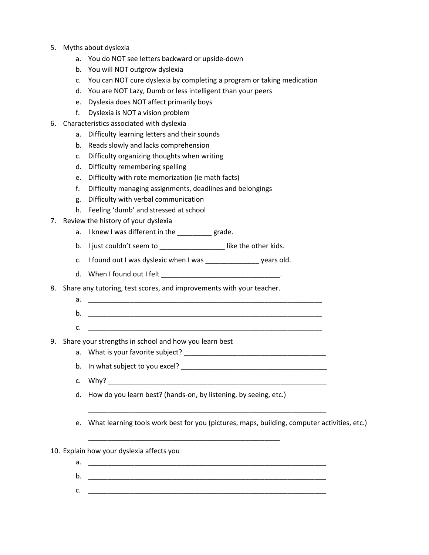- 5. Myths about dyslexia
	- a. You do NOT see letters backward or upside-down
	- b. You will NOT outgrow dyslexia
	- c. You can NOT cure dyslexia by completing a program or taking medication
	- d. You are NOT Lazy, Dumb or less intelligent than your peers
	- e. Dyslexia does NOT affect primarily boys
	- f. Dyslexia is NOT a vision problem
- 6. Characteristics associated with dyslexia
	- a. Difficulty learning letters and their sounds
	- b. Reads slowly and lacks comprehension
	- c. Difficulty organizing thoughts when writing
	- d. Difficulty remembering spelling
	- e. Difficulty with rote memorization (ie math facts)
	- f. Difficulty managing assignments, deadlines and belongings
	- g. Difficulty with verbal communication
	- h. Feeling 'dumb' and stressed at school
- 7. Review the history of your dyslexia
	- a. I knew I was different in the grade.
	- b. I just couldn't seem to \_\_\_\_\_\_\_\_\_\_\_\_\_\_\_\_\_\_\_\_\_like the other kids.
	- c. I found out I was dyslexic when I was \_\_\_\_\_\_\_\_\_\_\_\_\_\_ years old.
	- d. When I found out I felt
- 8. Share any tutoring, test scores, and improvements with your teacher.
	- a. \_\_\_\_\_\_\_\_\_\_\_\_\_\_\_\_\_\_\_\_\_\_\_\_\_\_\_\_\_\_\_\_\_\_\_\_\_\_\_\_\_\_\_\_\_\_\_\_\_\_\_\_\_\_\_\_\_\_\_\_\_
	- b. \_\_\_\_\_\_\_\_\_\_\_\_\_\_\_\_\_\_\_\_\_\_\_\_\_\_\_\_\_\_\_\_\_\_\_\_\_\_\_\_\_\_\_\_\_\_\_\_\_\_\_\_\_\_\_\_\_\_\_\_\_
	- $c.$   $\qquad \qquad \qquad \qquad$
- 9. Share your strengths in school and how you learn best
	- a. What is your favorite subject?
	- b. In what subject to you excel? \_\_\_\_\_\_\_\_\_\_\_\_\_\_\_\_\_\_\_\_\_\_\_\_\_\_\_\_\_\_\_\_\_\_\_\_\_\_
	- c.  $Why?$
	- d. How do you learn best? (hands-on, by listening, by seeing, etc.)

\_\_\_\_\_\_\_\_\_\_\_\_\_\_\_\_\_\_\_\_\_\_\_\_\_\_\_\_\_\_\_\_\_\_\_\_\_\_\_\_\_\_\_\_\_\_\_\_\_\_

- e. What learning tools work best for you (pictures, maps, building, computer activities, etc.)
- 10. Explain how your dyslexia affects you
	- a. \_\_\_\_\_\_\_\_\_\_\_\_\_\_\_\_\_\_\_\_\_\_\_\_\_\_\_\_\_\_\_\_\_\_\_\_\_\_\_\_\_\_\_\_\_\_\_\_\_\_\_\_\_\_\_\_\_\_\_\_\_\_

\_\_\_\_\_\_\_\_\_\_\_\_\_\_\_\_\_\_\_\_\_\_\_\_\_\_\_\_\_\_\_\_\_\_\_\_\_\_\_\_\_\_\_\_\_\_\_\_\_\_\_\_\_\_\_\_\_\_\_\_\_\_

- b. \_\_\_\_\_\_\_\_\_\_\_\_\_\_\_\_\_\_\_\_\_\_\_\_\_\_\_\_\_\_\_\_\_\_\_\_\_\_\_\_\_\_\_\_\_\_\_\_\_\_\_\_\_\_\_\_\_\_\_\_\_\_
- c. \_\_\_\_\_\_\_\_\_\_\_\_\_\_\_\_\_\_\_\_\_\_\_\_\_\_\_\_\_\_\_\_\_\_\_\_\_\_\_\_\_\_\_\_\_\_\_\_\_\_\_\_\_\_\_\_\_\_\_\_\_\_